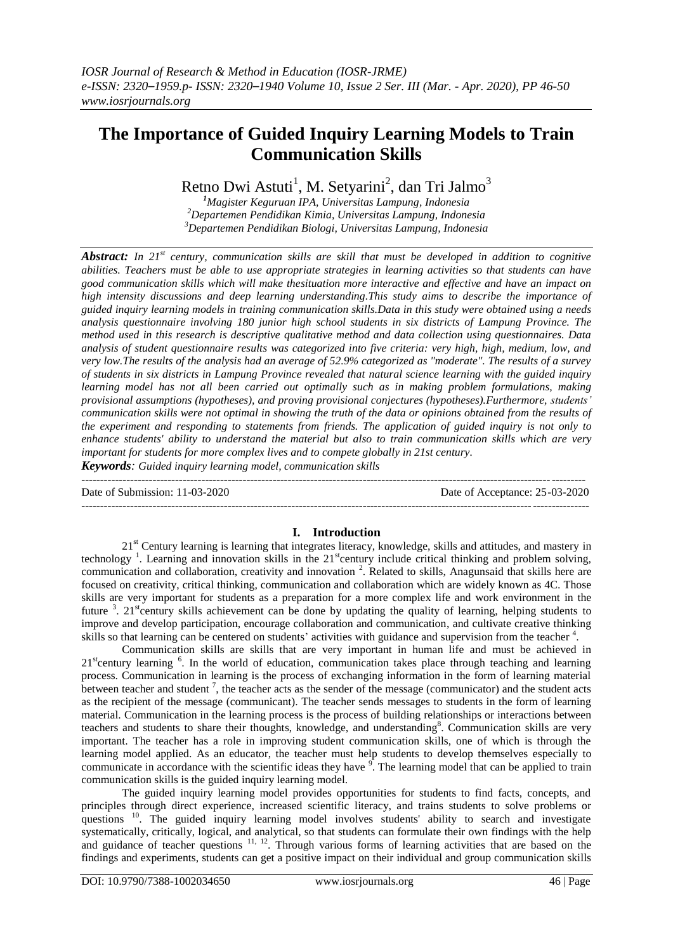# **The Importance of Guided Inquiry Learning Models to Train Communication Skills**

Retno Dwi Astuti<sup>1</sup>, M. Setyarini<sup>2</sup>, dan Tri Jalmo<sup>3</sup>

*<sup>1</sup>Magister Keguruan IPA, Universitas Lampung, Indonesia <sup>2</sup>Departemen Pendidikan Kimia, Universitas Lampung, Indonesia <sup>3</sup>Departemen Pendidikan Biologi, Universitas Lampung, Indonesia*

*Abstract: In 21st century, communication skills are skill that must be developed in addition to cognitive abilities. Teachers must be able to use appropriate strategies in learning activities so that students can have good communication skills which will make thesituation more interactive and effective and have an impact on high intensity discussions and deep learning understanding.This study aims to describe the importance of guided inquiry learning models in training communication skills.Data in this study were obtained using a needs analysis questionnaire involving 180 junior high school students in six districts of Lampung Province. The method used in this research is descriptive qualitative method and data collection using questionnaires. Data analysis of student questionnaire results was categorized into five criteria: very high, high, medium, low, and very low.The results of the analysis had an average of 52.9% categorized as "moderate". The results of a survey of students in six districts in Lampung Province revealed that natural science learning with the guided inquiry learning model has not all been carried out optimally such as in making problem formulations, making provisional assumptions (hypotheses), and proving provisional conjectures (hypotheses).Furthermore, students' communication skills were not optimal in showing the truth of the data or opinions obtained from the results of the experiment and responding to statements from friends. The application of guided inquiry is not only to enhance students' ability to understand the material but also to train communication skills which are very important for students for more complex lives and to compete globally in 21st century.*

*Keywords: Guided inquiry learning model, communication skills*

-------------------------------------------------------------------------------------------------------------------------------------- Date of Submission: 11-03-2020 Date of Acceptance: 25-03-2020 ---------------------------------------------------------------------------------------------------------------------------------------

### **I. Introduction**

21<sup>st</sup> Century learning is learning that integrates literacy, knowledge, skills and attitudes, and mastery in technology<sup>1</sup>. Learning and innovation skills in the 21<sup>st</sup>century include critical thinking and problem solving, communication and collaboration, creativity and innovation<sup>2</sup>. Related to skills, Anagunsaid that skills here are focused on creativity, critical thinking, communication and collaboration which are widely known as 4C. Those skills are very important for students as a preparation for a more complex life and work environment in the future  $3$ . 21<sup>st</sup>century skills achievement can be done by updating the quality of learning, helping students to improve and develop participation, encourage collaboration and communication, and cultivate creative thinking skills so that learning can be centered on students' activities with guidance and supervision from the teacher <sup>4</sup>.

Communication skills are skills that are very important in human life and must be achieved in  $21<sup>st</sup>$  century learning  $<sup>6</sup>$ . In the world of education, communication takes place through teaching and learning</sup> process. Communication in learning is the process of exchanging information in the form of learning material between teacher and student<sup>7</sup>, the teacher acts as the sender of the message (communicator) and the student acts as the recipient of the message (communicant). The teacher sends messages to students in the form of learning material. Communication in the learning process is the process of building relationships or interactions between teachers and students to share their thoughts, knowledge, and understanding<sup>8</sup>. Communication skills are very important. The teacher has a role in improving student communication skills, one of which is through the learning model applied. As an educator, the teacher must help students to develop themselves especially to communicate in accordance with the scientific ideas they have  $\frac{9}{1}$ . The learning model that can be applied to train communication skills is the guided inquiry learning model.

The guided inquiry learning model provides opportunities for students to find facts, concepts, and principles through direct experience, increased scientific literacy, and trains students to solve problems or questions <sup>10</sup>. The guided inquiry learning model involves students' ability to search and investigate systematically, critically, logical, and analytical, so that students can formulate their own findings with the help and guidance of teacher questions <sup>11, 12</sup>. Through various forms of learning activities that are based on the findings and experiments, students can get a positive impact on their individual and group communication skills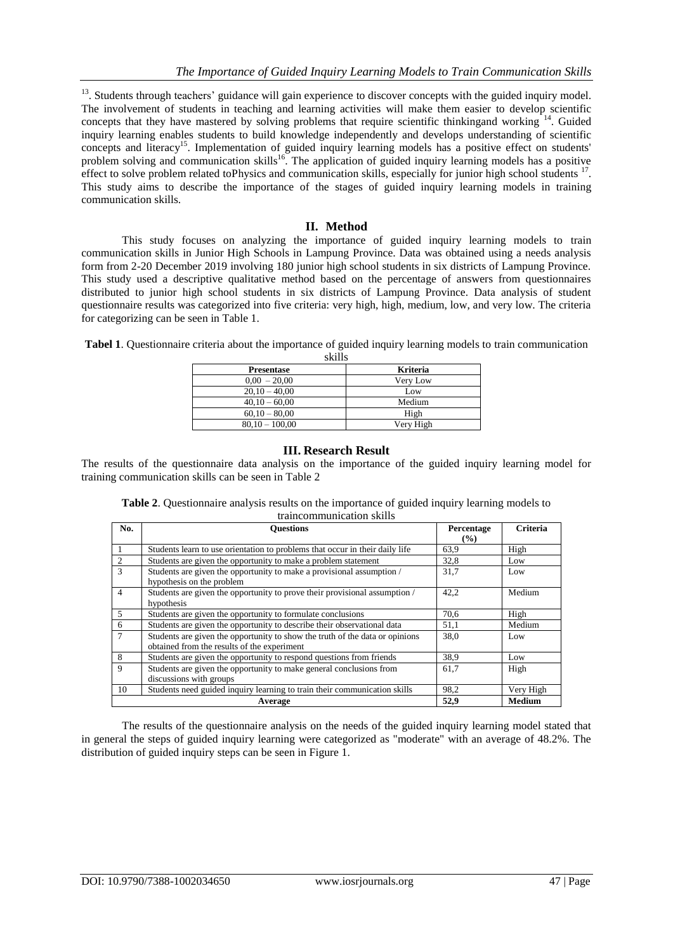<sup>13</sup>. Students through teachers' guidance will gain experience to discover concepts with the guided inquiry model. The involvement of students in teaching and learning activities will make them easier to develop scientific concepts that they have mastered by solving problems that require scientific thinkingand working <sup>14</sup>. Guided inquiry learning enables students to build knowledge independently and develops understanding of scientific concepts and literacy<sup>15</sup>. Implementation of guided inquiry learning models has a positive effect on students' problem solving and communication skills<sup>16</sup>. The application of guided inquiry learning models has a positive effect to solve problem related toPhysics and communication skills, especially for junior high school students <sup>17</sup>. This study aims to describe the importance of the stages of guided inquiry learning models in training communication skills.

### **II. Method**

This study focuses on analyzing the importance of guided inquiry learning models to train communication skills in Junior High Schools in Lampung Province. Data was obtained using a needs analysis form from 2-20 December 2019 involving 180 junior high school students in six districts of Lampung Province. This study used a descriptive qualitative method based on the percentage of answers from questionnaires distributed to junior high school students in six districts of Lampung Province. Data analysis of student questionnaire results was categorized into five criteria: very high, high, medium, low, and very low. The criteria for categorizing can be seen in Table 1.

| эмпэ      |  |  |
|-----------|--|--|
| Kriteria  |  |  |
| Very Low  |  |  |
| Low       |  |  |
| Medium    |  |  |
| High      |  |  |
| Very High |  |  |
|           |  |  |

**Tabel 1**. Questionnaire criteria about the importance of guided inquiry learning models to train communication  $\overline{\text{sl}}$ ille

#### **III. Research Result**

The results of the questionnaire data analysis on the importance of the guided inquiry learning model for training communication skills can be seen in Table 2

| No.            | <b>Ouestions</b>                                                             | Percentage    | <b>Criteria</b> |
|----------------|------------------------------------------------------------------------------|---------------|-----------------|
|                |                                                                              | $\frac{9}{6}$ |                 |
|                | Students learn to use orientation to problems that occur in their daily life | 63.9          | High            |
| 2              | Students are given the opportunity to make a problem statement               | 32,8          | Low             |
| 3              | Students are given the opportunity to make a provisional assumption /        | 31,7          | Low             |
|                | hypothesis on the problem                                                    |               |                 |
| $\overline{4}$ | Students are given the opportunity to prove their provisional assumption /   | 42.2          | Medium          |
|                | hypothesis                                                                   |               |                 |
| 5              | Students are given the opportunity to formulate conclusions                  | 70.6          | High            |
| 6              | Students are given the opportunity to describe their observational data      | 51,1          | Medium          |
| $\overline{7}$ | Students are given the opportunity to show the truth of the data or opinions | 38,0          | Low             |
|                | obtained from the results of the experiment                                  |               |                 |
| 8              | Students are given the opportunity to respond questions from friends         | 38.9          | Low             |
| 9              | Students are given the opportunity to make general conclusions from          | 61,7          | High            |
|                | discussions with groups                                                      |               |                 |
| 10             | Students need guided inquiry learning to train their communication skills    | 98.2          | Very High       |
|                | Average                                                                      | 52,9          | <b>Medium</b>   |

**Table 2**. Questionnaire analysis results on the importance of guided inquiry learning models to traincommunication skills

The results of the questionnaire analysis on the needs of the guided inquiry learning model stated that in general the steps of guided inquiry learning were categorized as "moderate" with an average of 48.2%. The distribution of guided inquiry steps can be seen in Figure 1.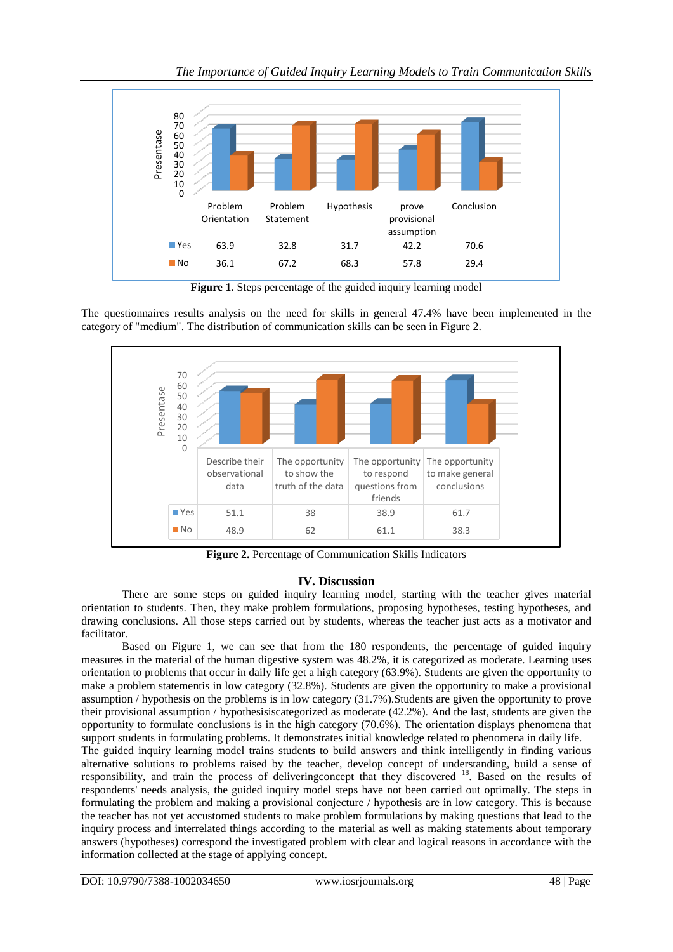

**Figure 1**. Steps percentage of the guided inquiry learning model

The questionnaires results analysis on the need for skills in general 47.4% have been implemented in the category of "medium". The distribution of communication skills can be seen in Figure 2.



**Figure 2.** Percentage of Communication Skills Indicators

## **IV. Discussion**

There are some steps on guided inquiry learning model, starting with the teacher gives material orientation to students. Then, they make problem formulations, proposing hypotheses, testing hypotheses, and drawing conclusions. All those steps carried out by students, whereas the teacher just acts as a motivator and facilitator.

Based on Figure 1, we can see that from the 180 respondents, the percentage of guided inquiry measures in the material of the human digestive system was 48.2%, it is categorized as moderate. Learning uses orientation to problems that occur in daily life get a high category (63.9%). Students are given the opportunity to make a problem statementis in low category (32.8%). Students are given the opportunity to make a provisional assumption / hypothesis on the problems is in low category (31.7%).Students are given the opportunity to prove their provisional assumption / hypothesisiscategorized as moderate (42.2%). And the last, students are given the opportunity to formulate conclusions is in the high category (70.6%). The orientation displays phenomena that support students in formulating problems. It demonstrates initial knowledge related to phenomena in daily life.

The guided inquiry learning model trains students to build answers and think intelligently in finding various alternative solutions to problems raised by the teacher, develop concept of understanding, build a sense of responsibility, and train the process of deliveringconcept that they discovered <sup>18</sup>. Based on the results of respondents' needs analysis, the guided inquiry model steps have not been carried out optimally. The steps in formulating the problem and making a provisional conjecture / hypothesis are in low category. This is because the teacher has not yet accustomed students to make problem formulations by making questions that lead to the inquiry process and interrelated things according to the material as well as making statements about temporary answers (hypotheses) correspond the investigated problem with clear and logical reasons in accordance with the information collected at the stage of applying concept.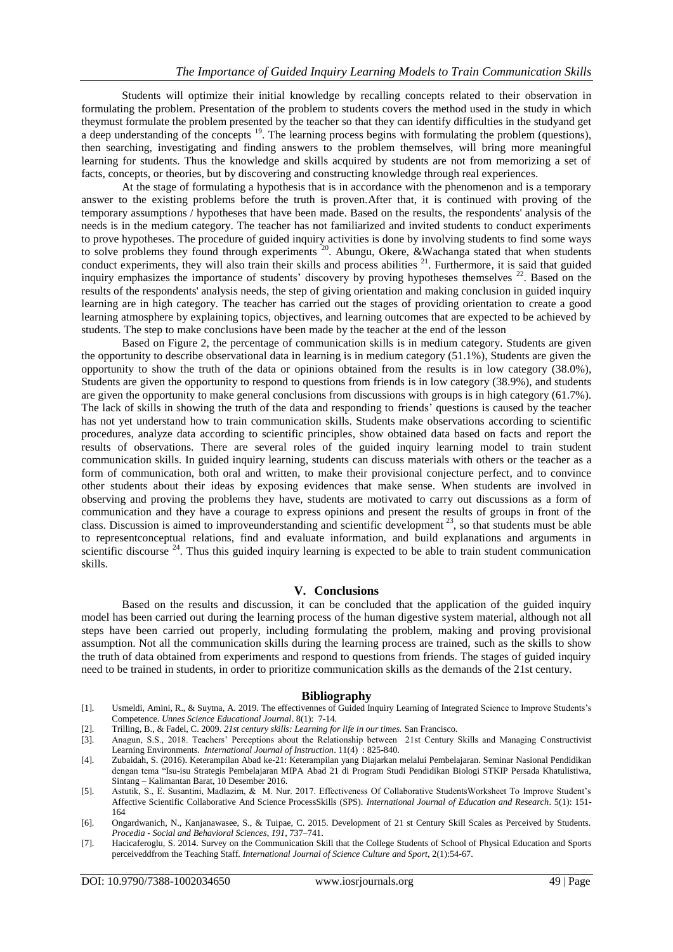Students will optimize their initial knowledge by recalling concepts related to their observation in formulating the problem. Presentation of the problem to students covers the method used in the study in which theymust formulate the problem presented by the teacher so that they can identify difficulties in the studyand get a deep understanding of the concepts <sup>19</sup>. The learning process begins with formulating the problem (questions), then searching, investigating and finding answers to the problem themselves, will bring more meaningful learning for students. Thus the knowledge and skills acquired by students are not from memorizing a set of facts, concepts, or theories, but by discovering and constructing knowledge through real experiences.

At the stage of formulating a hypothesis that is in accordance with the phenomenon and is a temporary answer to the existing problems before the truth is proven.After that, it is continued with proving of the temporary assumptions / hypotheses that have been made. Based on the results, the respondents' analysis of the needs is in the medium category. The teacher has not familiarized and invited students to conduct experiments to prove hypotheses. The procedure of guided inquiry activities is done by involving students to find some ways to solve problems they found through experiments  $^{20}$ . Abungu, Okere, &Wachanga stated that when students conduct experiments, they will also train their skills and process abilities  $21$ . Furthermore, it is said that guided inquiry emphasizes the importance of students' discovery by proving hypotheses themselves <sup>22</sup>. Based on the results of the respondents' analysis needs, the step of giving orientation and making conclusion in guided inquiry learning are in high category. The teacher has carried out the stages of providing orientation to create a good learning atmosphere by explaining topics, objectives, and learning outcomes that are expected to be achieved by students. The step to make conclusions have been made by the teacher at the end of the lesson

Based on Figure 2, the percentage of communication skills is in medium category. Students are given the opportunity to describe observational data in learning is in medium category (51.1%), Students are given the opportunity to show the truth of the data or opinions obtained from the results is in low category (38.0%), Students are given the opportunity to respond to questions from friends is in low category (38.9%), and students are given the opportunity to make general conclusions from discussions with groups is in high category (61.7%). The lack of skills in showing the truth of the data and responding to friends' questions is caused by the teacher has not yet understand how to train communication skills. Students make observations according to scientific procedures, analyze data according to scientific principles, show obtained data based on facts and report the results of observations. There are several roles of the guided inquiry learning model to train student communication skills. In guided inquiry learning, students can discuss materials with others or the teacher as a form of communication, both oral and written, to make their provisional conjecture perfect, and to convince other students about their ideas by exposing evidences that make sense. When students are involved in observing and proving the problems they have, students are motivated to carry out discussions as a form of communication and they have a courage to express opinions and present the results of groups in front of the class. Discussion is aimed to improveunderstanding and scientific development<sup>23</sup>, so that students must be able to representconceptual relations, find and evaluate information, and build explanations and arguments in scientific discourse  $24$ . Thus this guided inquiry learning is expected to be able to train student communication skills.

#### **V. Conclusions**

Based on the results and discussion, it can be concluded that the application of the guided inquiry model has been carried out during the learning process of the human digestive system material, although not all steps have been carried out properly, including formulating the problem, making and proving provisional assumption. Not all the communication skills during the learning process are trained, such as the skills to show the truth of data obtained from experiments and respond to questions from friends. The stages of guided inquiry need to be trained in students, in order to prioritize communication skills as the demands of the 21st century.

#### **Bibliography**

- [1]. Usmeldi, Amini, R., & Suytna, A. 2019. The effectivennes of Guided Inquiry Learning of Integrated Science to Improve Students's Competence. *Unnes Science Educational Journal*. 8(1): 7-14.
- [2]. Trilling, B., & Fadel, C. 2009. *21st century skills: Learning for life in our times.* San Francisco.
- [3]. Anagun, S.S., 2018. Teachers' Perceptions about the Relationship between 21st Century Skills and Managing Constructivist Learning Environments. *International Journal of Instruction*. 11(4) : 825-840.
- [4]. Zubaidah, S. (2016). Keterampilan Abad ke-21: Keterampilan yang Diajarkan melalui Pembelajaran. Seminar Nasional Pendidikan dengan tema "Isu-isu Strategis Pembelajaran MIPA Abad 21 di Program Studi Pendidikan Biologi STKIP Persada Khatulistiwa, Sintang – Kalimantan Barat, 10 Desember 2016.
- [5]. Astutik, S., E. Susantini, Madlazim, & M. Nur. 2017. Effectiveness Of Collaborative StudentsWorksheet To Improve Student's Affective Scientific Collaborative And Science ProcessSkills (SPS). *International Journal of Education and Research*. 5(1): 151- 164
- [6]. Ongardwanich, N., Kanjanawasee, S., & Tuipae, C. 2015. Development of 21 st Century Skill Scales as Perceived by Students. *Procedia - Social and Behavioral Sciences*, *191*, 737–741.
- [7]. Hacicaferoglu, S. 2014. Survey on the Communication Skill that the College Students of School of Physical Education and Sports perceiveddfrom the Teaching Staff. *International Journal of Science Culture and Sport*, 2(1):54-67.